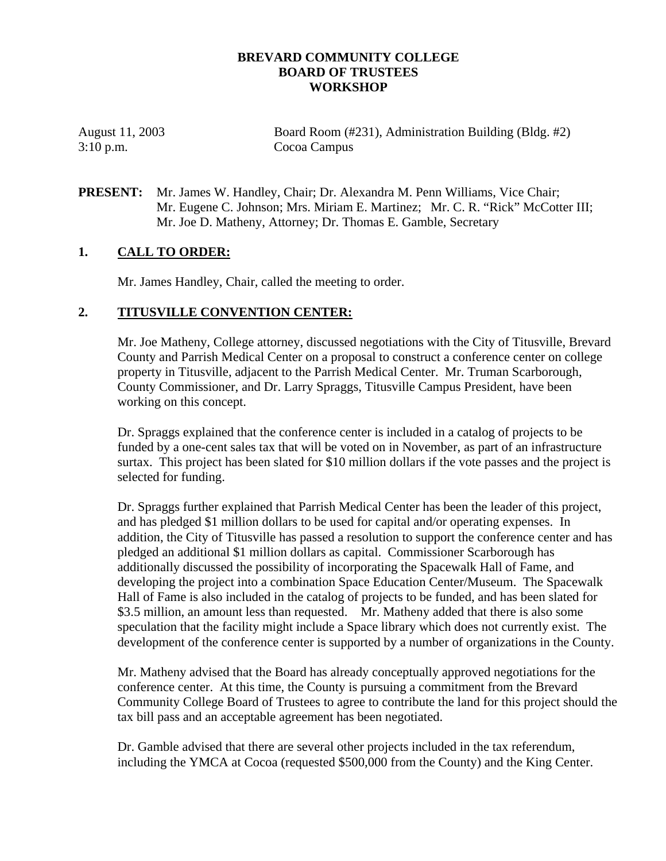### **BREVARD COMMUNITY COLLEGE BOARD OF TRUSTEES WORKSHOP**

| August 11, 2003 | Board Room (#231), Administration Building (Bldg. #2) |
|-----------------|-------------------------------------------------------|
| $3:10$ p.m.     | Cocoa Campus                                          |

**PRESENT:** Mr. James W. Handley, Chair; Dr. Alexandra M. Penn Williams, Vice Chair; Mr. Eugene C. Johnson; Mrs. Miriam E. Martinez; Mr. C. R. "Rick" McCotter III; Mr. Joe D. Matheny, Attorney; Dr. Thomas E. Gamble, Secretary

### **1. CALL TO ORDER:**

Mr. James Handley, Chair, called the meeting to order.

### **2. TITUSVILLE CONVENTION CENTER:**

Mr. Joe Matheny, College attorney, discussed negotiations with the City of Titusville, Brevard County and Parrish Medical Center on a proposal to construct a conference center on college property in Titusville, adjacent to the Parrish Medical Center. Mr. Truman Scarborough, County Commissioner, and Dr. Larry Spraggs, Titusville Campus President, have been working on this concept.

Dr. Spraggs explained that the conference center is included in a catalog of projects to be funded by a one-cent sales tax that will be voted on in November, as part of an infrastructure surtax. This project has been slated for \$10 million dollars if the vote passes and the project is selected for funding.

Dr. Spraggs further explained that Parrish Medical Center has been the leader of this project, and has pledged \$1 million dollars to be used for capital and/or operating expenses. In addition, the City of Titusville has passed a resolution to support the conference center and has pledged an additional \$1 million dollars as capital. Commissioner Scarborough has additionally discussed the possibility of incorporating the Spacewalk Hall of Fame, and developing the project into a combination Space Education Center/Museum. The Spacewalk Hall of Fame is also included in the catalog of projects to be funded, and has been slated for \$3.5 million, an amount less than requested. Mr. Matheny added that there is also some speculation that the facility might include a Space library which does not currently exist. The development of the conference center is supported by a number of organizations in the County.

Mr. Matheny advised that the Board has already conceptually approved negotiations for the conference center. At this time, the County is pursuing a commitment from the Brevard Community College Board of Trustees to agree to contribute the land for this project should the tax bill pass and an acceptable agreement has been negotiated.

Dr. Gamble advised that there are several other projects included in the tax referendum, including the YMCA at Cocoa (requested \$500,000 from the County) and the King Center.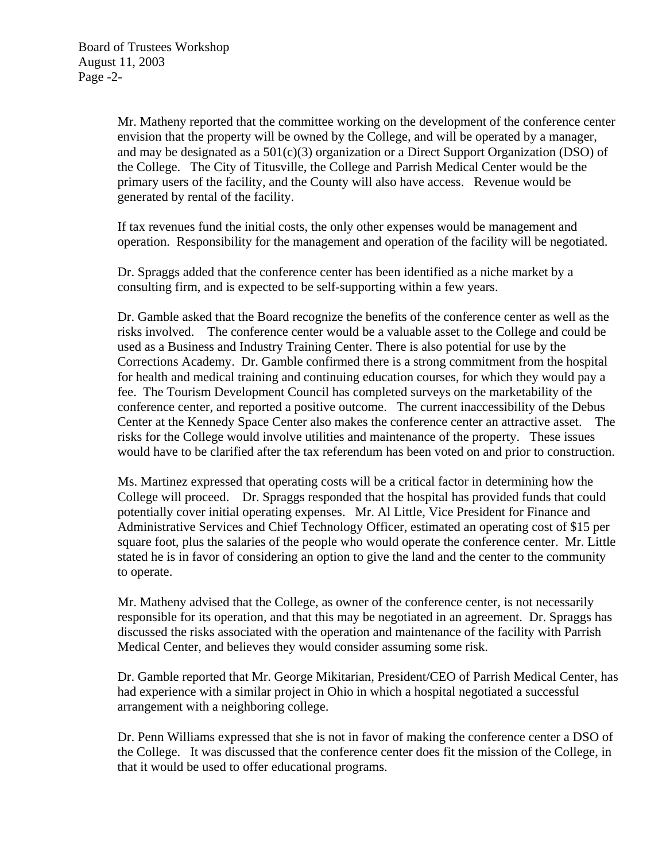Mr. Matheny reported that the committee working on the development of the conference center envision that the property will be owned by the College, and will be operated by a manager, and may be designated as a  $501(c)(3)$  organization or a Direct Support Organization (DSO) of the College. The City of Titusville, the College and Parrish Medical Center would be the primary users of the facility, and the County will also have access. Revenue would be generated by rental of the facility.

If tax revenues fund the initial costs, the only other expenses would be management and operation. Responsibility for the management and operation of the facility will be negotiated.

Dr. Spraggs added that the conference center has been identified as a niche market by a consulting firm, and is expected to be self-supporting within a few years.

Dr. Gamble asked that the Board recognize the benefits of the conference center as well as the risks involved. The conference center would be a valuable asset to the College and could be used as a Business and Industry Training Center. There is also potential for use by the Corrections Academy. Dr. Gamble confirmed there is a strong commitment from the hospital for health and medical training and continuing education courses, for which they would pay a fee. The Tourism Development Council has completed surveys on the marketability of the conference center, and reported a positive outcome. The current inaccessibility of the Debus Center at the Kennedy Space Center also makes the conference center an attractive asset. The risks for the College would involve utilities and maintenance of the property. These issues would have to be clarified after the tax referendum has been voted on and prior to construction.

Ms. Martinez expressed that operating costs will be a critical factor in determining how the College will proceed. Dr. Spraggs responded that the hospital has provided funds that could potentially cover initial operating expenses. Mr. Al Little, Vice President for Finance and Administrative Services and Chief Technology Officer, estimated an operating cost of \$15 per square foot, plus the salaries of the people who would operate the conference center. Mr. Little stated he is in favor of considering an option to give the land and the center to the community to operate.

Mr. Matheny advised that the College, as owner of the conference center, is not necessarily responsible for its operation, and that this may be negotiated in an agreement. Dr. Spraggs has discussed the risks associated with the operation and maintenance of the facility with Parrish Medical Center, and believes they would consider assuming some risk.

Dr. Gamble reported that Mr. George Mikitarian, President/CEO of Parrish Medical Center, has had experience with a similar project in Ohio in which a hospital negotiated a successful arrangement with a neighboring college.

Dr. Penn Williams expressed that she is not in favor of making the conference center a DSO of the College. It was discussed that the conference center does fit the mission of the College, in that it would be used to offer educational programs.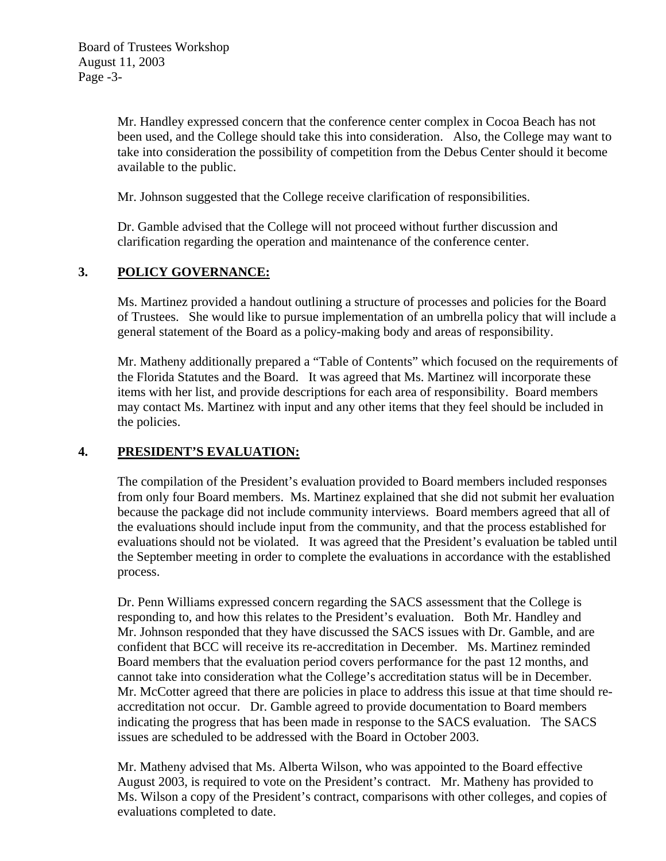Mr. Handley expressed concern that the conference center complex in Cocoa Beach has not been used, and the College should take this into consideration. Also, the College may want to take into consideration the possibility of competition from the Debus Center should it become available to the public.

Mr. Johnson suggested that the College receive clarification of responsibilities.

Dr. Gamble advised that the College will not proceed without further discussion and clarification regarding the operation and maintenance of the conference center.

## **3. POLICY GOVERNANCE:**

Ms. Martinez provided a handout outlining a structure of processes and policies for the Board of Trustees. She would like to pursue implementation of an umbrella policy that will include a general statement of the Board as a policy-making body and areas of responsibility.

Mr. Matheny additionally prepared a "Table of Contents" which focused on the requirements of the Florida Statutes and the Board. It was agreed that Ms. Martinez will incorporate these items with her list, and provide descriptions for each area of responsibility. Board members may contact Ms. Martinez with input and any other items that they feel should be included in the policies.

### **4. PRESIDENT'S EVALUATION:**

The compilation of the President's evaluation provided to Board members included responses from only four Board members. Ms. Martinez explained that she did not submit her evaluation because the package did not include community interviews. Board members agreed that all of the evaluations should include input from the community, and that the process established for evaluations should not be violated. It was agreed that the President's evaluation be tabled until the September meeting in order to complete the evaluations in accordance with the established process.

Dr. Penn Williams expressed concern regarding the SACS assessment that the College is responding to, and how this relates to the President's evaluation. Both Mr. Handley and Mr. Johnson responded that they have discussed the SACS issues with Dr. Gamble, and are confident that BCC will receive its re-accreditation in December. Ms. Martinez reminded Board members that the evaluation period covers performance for the past 12 months, and cannot take into consideration what the College's accreditation status will be in December. Mr. McCotter agreed that there are policies in place to address this issue at that time should reaccreditation not occur. Dr. Gamble agreed to provide documentation to Board members indicating the progress that has been made in response to the SACS evaluation. The SACS issues are scheduled to be addressed with the Board in October 2003.

Mr. Matheny advised that Ms. Alberta Wilson, who was appointed to the Board effective August 2003, is required to vote on the President's contract. Mr. Matheny has provided to Ms. Wilson a copy of the President's contract, comparisons with other colleges, and copies of evaluations completed to date.